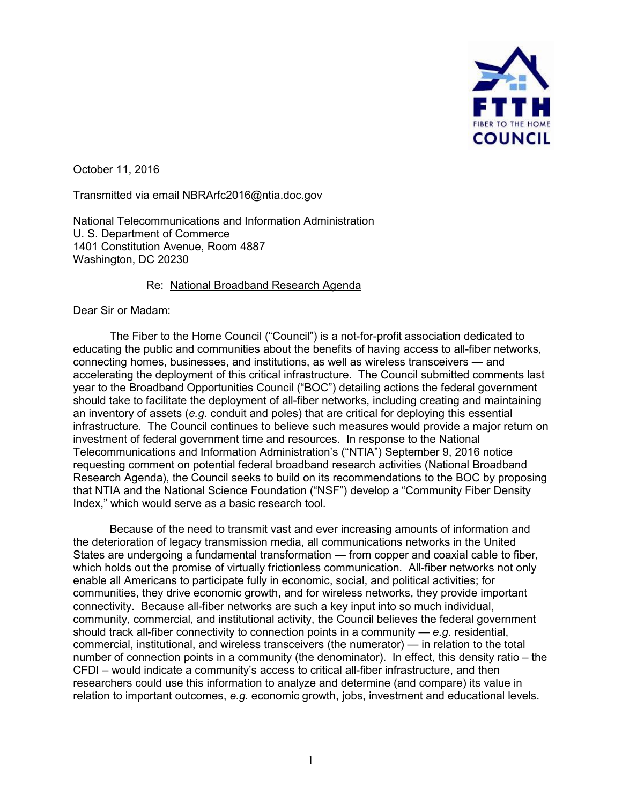

October 11, 2016

Transmitted via email [NBRArfc2016@ntia.doc.gov](mailto:NBRArfc2016@ntia.doc.gov) 

National Telecommunications and Information Administration U. S. Department of Commerce 1401 Constitution Avenue, Room 4887 Washington, DC 20230

## Re: National Broadband Research Agenda

Dear Sir or Madam:

The Fiber to the Home Council ("Council") is a not-for-profit association dedicated to educating the public and communities about the benefits of having access to all-fiber networks, connecting homes, businesses, and institutions, as well as wireless transceivers — and accelerating the deployment of this critical infrastructure. The Council submitted comments last year to the Broadband Opportunities Council ("BOC") detailing actions the federal government should take to facilitate the deployment of all-fiber networks, including creating and maintaining an inventory of assets (*e.g.* conduit and poles) that are critical for deploying this essential infrastructure. The Council continues to believe such measures would provide a major return on investment of federal government time and resources. In response to the National Telecommunications and Information Administration's ("NTIA") September 9, 2016 notice requesting comment on potential federal broadband research activities (National Broadband Research Agenda), the Council seeks to build on its recommendations to the BOC by proposing that NTIA and the National Science Foundation ("NSF") develop a "Community Fiber Density Index," which would serve as a basic research tool.

Because of the need to transmit vast and ever increasing amounts of information and the deterioration of legacy transmission media, all communications networks in the United States are undergoing a fundamental transformation — from copper and coaxial cable to fiber, which holds out the promise of virtually frictionless communication. All-fiber networks not only enable all Americans to participate fully in economic, social, and political activities; for communities, they drive economic growth, and for wireless networks, they provide important connectivity. Because all-fiber networks are such a key input into so much individual, community, commercial, and institutional activity, the Council believes the federal government should track all-fiber connectivity to connection points in a community — *e.g.* residential, commercial, institutional, and wireless transceivers (the numerator) — in relation to the total number of connection points in a community (the denominator). In effect, this density ratio – the CFDI – would indicate a community's access to critical all-fiber infrastructure, and then researchers could use this information to analyze and determine (and compare) its value in relation to important outcomes, *e.g.* economic growth, jobs, investment and educational levels.